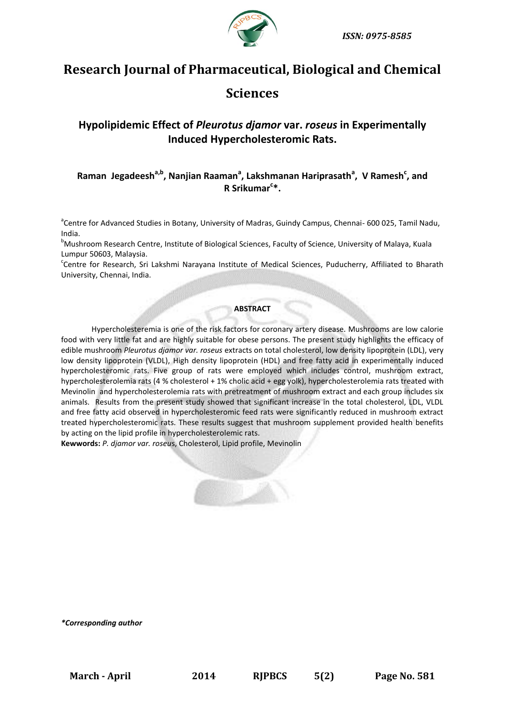

# **Research Journal of Pharmaceutical, Biological and Chemical**

## **Sciences**

## **Hypolipidemic Effect of** *Pleurotus djamor* **var.** *roseus* **in Experimentally Induced Hypercholesteromic Rats.**

## **Raman Jegadeesha,b , Nanjian Raaman<sup>a</sup> , Lakshmanan Hariprasath<sup>a</sup> , V Ramesh<sup>c</sup> , and R Srikumar<sup>c</sup> \*.**

<sup>a</sup>Centre for Advanced Studies in Botany, University of Madras, Guindy Campus, Chennai- 600 025, Tamil Nadu, India.

<sup>b</sup>Mushroom Research Centre, Institute of Biological Sciences, Faculty of Science, University of Malaya, Kuala Lumpur 50603, Malaysia.

Centre for Research, Sri Lakshmi Narayana Institute of Medical Sciences, Puducherry, Affiliated to Bharath University, Chennai, India.

#### **ABSTRACT**

Hypercholesteremia is one of the risk factors for coronary artery disease. Mushrooms are low calorie food with very little fat and are highly suitable for obese persons. The present study highlights the efficacy of edible mushroom *Pleurotus djamor var. roseus* extracts on total cholesterol, low density lipoprotein (LDL), very low density lipoprotein (VLDL), High density lipoprotein (HDL) and free fatty acid in experimentally induced hypercholesteromic rats. Five group of rats were employed which includes control, mushroom extract, hypercholesterolemia rats (4 % cholesterol + 1% cholic acid + egg yolk), hypercholesterolemia rats treated with Mevinolin and hypercholesterolemia rats with pretreatment of mushroom extract and each group includes six animals. Results from the present study showed that significant increase in the total cholesterol, LDL, VLDL and free fatty acid observed in hypercholesteromic feed rats were significantly reduced in mushroom extract treated hypercholesteromic rats. These results suggest that mushroom supplement provided health benefits by acting on the lipid profile in hypercholesterolemic rats.

**Kewwords:** *P. djamor var. roseu*s, Cholesterol, Lipid profile, Mevinolin



*\*Corresponding author*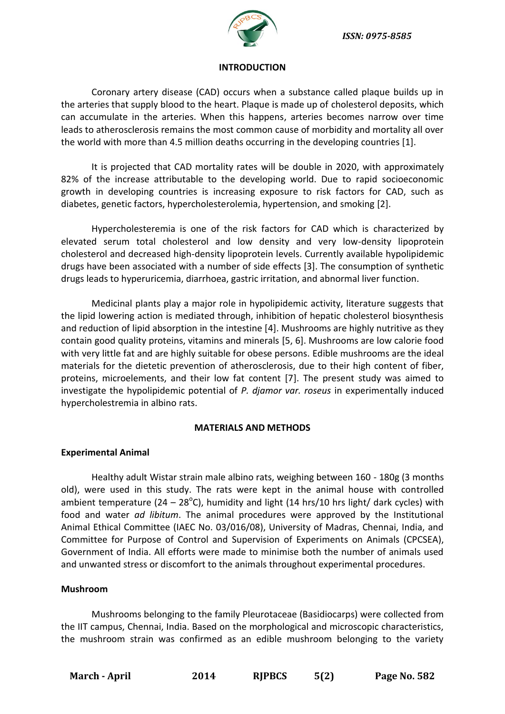

#### **INTRODUCTION**

Coronary artery disease (CAD) occurs when a substance called plaque builds up in the arteries that supply blood to the heart. Plaque is made up of [cholesterol](http://www.cdc.gov/cholesterol) deposits, which can accumulate in the arteries. When this happens, arteries becomes narrow over time leads to atherosclerosis remains the most common cause of morbidity and mortality all over the world with more than 4.5 million deaths occurring in the developing countries [1].

It is projected that CAD mortality rates will be double in 2020, with approximately 82% of the increase attributable to the developing world. Due to rapid socioeconomic growth in developing countries is increasing exposure to risk factors for CAD, such as diabetes, genetic factors, hypercholesterolemia, hypertension, and smoking [2].

Hypercholesteremia is one of the risk factors for CAD which is characterized by elevated serum total cholesterol and low density and very low-density lipoprotein cholesterol and decreased high-density lipoprotein levels. Currently available hypolipidemic drugs have been associated with a number of side effects [3]. The consumption of synthetic drugs leads to hyperuricemia, diarrhoea, gastric irritation, and abnormal liver function.

Medicinal plants play a major role in hypolipidemic activity, literature suggests that the lipid lowering action is mediated through, inhibition of hepatic cholesterol biosynthesis and reduction of lipid absorption in the intestine [4]. Mushrooms are highly nutritive as they contain good quality proteins, vitamins and minerals [5, 6]. Mushrooms are low calorie food with very little fat and are highly suitable for obese persons. Edible mushrooms are the ideal materials for the dietetic prevention of atherosclerosis, due to their high content of fiber, proteins, microelements, and their low fat content [7]. The present study was aimed to investigate the hypolipidemic potential of *P. djamor var. roseus* in experimentally induced hypercholestremia in albino rats.

#### **MATERIALS AND METHODS**

## **Experimental Animal**

Healthy adult Wistar strain male albino rats, weighing between 160 - 180g (3 months old), were used in this study. The rats were kept in the animal house with controlled ambient temperature (24 – 28°C), humidity and light (14 hrs/10 hrs light/ dark cycles) with food and water *ad libitum*. The animal procedures were approved by the Institutional Animal Ethical Committee (IAEC No. 03/016/08), University of Madras, Chennai, India, and Committee for Purpose of Control and Supervision of Experiments on Animals (CPCSEA), Government of India. All efforts were made to minimise both the number of animals used and unwanted stress or discomfort to the animals throughout experimental procedures.

## **Mushroom**

Mushrooms belonging to the family Pleurotaceae (Basidiocarps) were collected from the IIT campus, Chennai, India. Based on the morphological and microscopic characteristics, the mushroom strain was confirmed as an edible mushroom belonging to the variety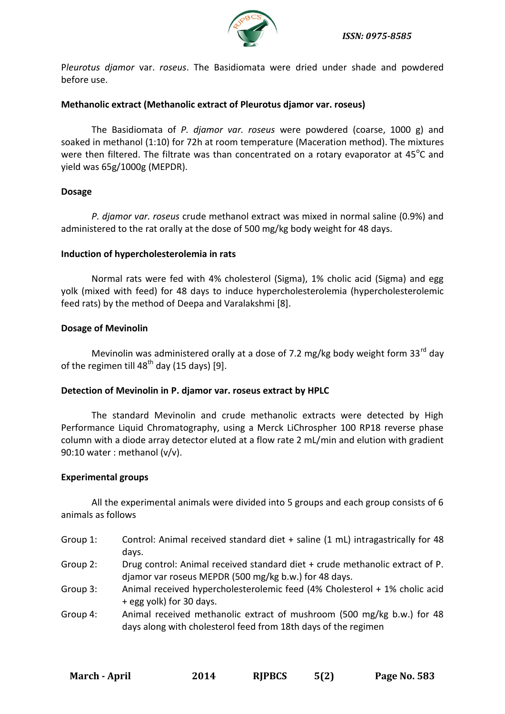

P*leurotus djamor* var. *roseus*. The Basidiomata were dried under shade and powdered before use.

#### **Methanolic extract (Methanolic extract of Pleurotus djamor var. roseus)**

The Basidiomata of *P. djamor var. roseus* were powdered (coarse, 1000 g) and soaked in methanol (1:10) for 72h at room temperature (Maceration method). The mixtures were then filtered. The filtrate was than concentrated on a rotary evaporator at  $45^{\circ}$ C and yield was 65g/1000g (MEPDR).

## **Dosage**

*P. djamor var. roseus* crude methanol extract was mixed in normal saline (0.9%) and administered to the rat orally at the dose of 500 mg/kg body weight for 48 days.

## **Induction of hypercholesterolemia in rats**

Normal rats were fed with 4% cholesterol (Sigma), 1% cholic acid (Sigma) and egg yolk (mixed with feed) for 48 days to induce hypercholesterolemia (hypercholesterolemic feed rats) by the method of Deepa and Varalakshmi [8].

## **Dosage of Mevinolin**

Mevinolin was administered orally at a dose of 7.2 mg/kg body weight form 33<sup>rd</sup> day of the regimen till  $48<sup>th</sup>$  day (15 days) [9].

## **Detection of Mevinolin in P. djamor var. roseus extract by HPLC**

The standard Mevinolin and crude methanolic extracts were detected by High Performance Liquid Chromatography, using a Merck LiChrospher 100 RP18 reverse phase column with a diode array detector eluted at a flow rate 2 mL/min and elution with gradient 90:10 water : methanol (v/v).

#### **Experimental groups**

All the experimental animals were divided into 5 groups and each group consists of 6 animals as follows

- Group 1: Control: Animal received standard diet + saline (1 mL) intragastrically for 48 days.
- Group 2: Drug control: Animal received standard diet + crude methanolic extract of P. djamor var roseus MEPDR (500 mg/kg b.w.) for 48 days.
- Group 3: Animal received hypercholesterolemic feed (4% Cholesterol + 1% cholic acid + egg yolk) for 30 days.
- Group 4: Animal received methanolic extract of mushroom (500 mg/kg b.w.) for 48 days along with cholesterol feed from 18th days of the regimen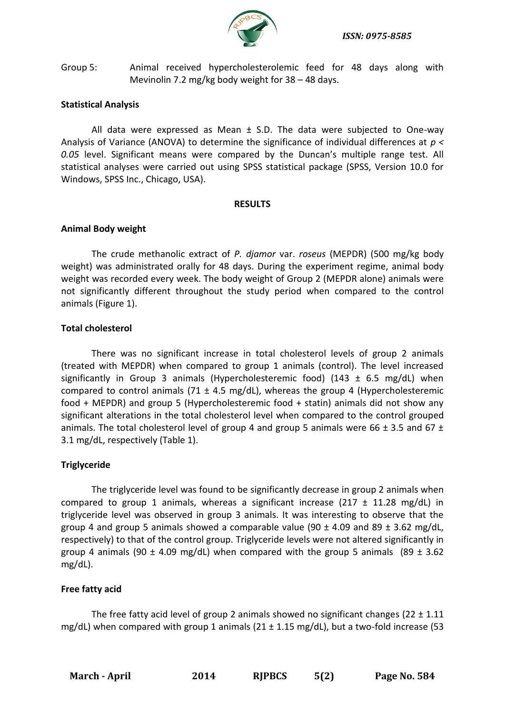

Group 5: Animal received hypercholesterolemic feed for 48 days along with Mevinolin 7.2 mg/kg body weight for 38 – 48 days.

## **Statistical Analysis**

All data were expressed as Mean  $\pm$  S.D. The data were subjected to One-way Analysis of Variance (ANOVA) to determine the significance of individual differences at *p < 0.05* level. Significant means were compared by the Duncan's multiple range test. All statistical analyses were carried out using SPSS statistical package (SPSS, Version 10.0 for Windows, SPSS Inc., Chicago, USA).

#### **RESULTS**

#### **Animal Body weight**

The crude methanolic extract of *P. djamor* var. *roseus* (MEPDR) (500 mg/kg body weight) was administrated orally for 48 days. During the experiment regime, animal body weight was recorded every week. The body weight of Group 2 (MEPDR alone) animals were not significantly different throughout the study period when compared to the control animals (Figure 1).

## **Total cholesterol**

There was no significant increase in total cholesterol levels of group 2 animals (treated with MEPDR) when compared to group 1 animals (control). The level increased significantly in Group 3 animals (Hypercholesteremic food) (143  $\pm$  6.5 mg/dL) when compared to control animals (71  $\pm$  4.5 mg/dL), whereas the group 4 (Hypercholesteremic food + MEPDR) and group 5 (Hypercholesteremic food + statin) animals did not show any significant alterations in the total cholesterol level when compared to the control grouped animals. The total cholesterol level of group 4 and group 5 animals were 66  $\pm$  3.5 and 67  $\pm$ 3.1 mg/dL, respectively (Table 1).

#### **Triglyceride**

The triglyceride level was found to be significantly decrease in group 2 animals when compared to group 1 animals, whereas a significant increase (217  $\pm$  11.28 mg/dL) in triglyceride level was observed in group 3 animals. It was interesting to observe that the group 4 and group 5 animals showed a comparable value (90  $\pm$  4.09 and 89  $\pm$  3.62 mg/dL, respectively) to that of the control group. Triglyceride levels were not altered significantly in group 4 animals (90  $\pm$  4.09 mg/dL) when compared with the group 5 animals (89  $\pm$  3.62 mg/dL).

## **Free fatty acid**

The free fatty acid level of group 2 animals showed no significant changes ( $22 \pm 1.11$ ) mg/dL) when compared with group 1 animals (21  $\pm$  1.15 mg/dL), but a two-fold increase (53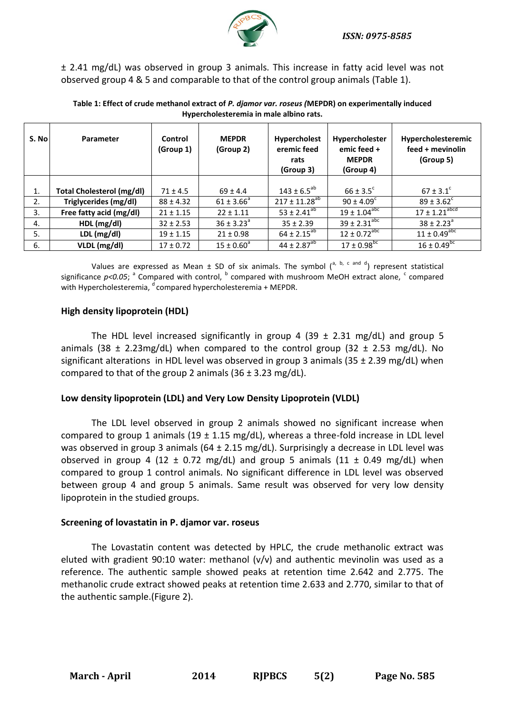

± 2.41 mg/dL) was observed in group 3 animals. This increase in fatty acid level was not observed group 4 & 5 and comparable to that of the control group animals (Table 1).

| S. No | Parameter                        | Control<br>(Group 1) | <b>MEPDR</b><br>(Group 2) | Hypercholest<br>eremic feed<br>rats<br>(Group 3) | Hypercholester<br>emic feed +<br><b>MEPDR</b><br>(Group 4) | Hypercholesteremic<br>feed + mevinolin<br>(Group 5) |
|-------|----------------------------------|----------------------|---------------------------|--------------------------------------------------|------------------------------------------------------------|-----------------------------------------------------|
| 1.    | <b>Total Cholesterol (mg/dl)</b> | $71 \pm 4.5$         | $69 \pm 4.4$              | $143 \pm 6.5^{ab}$                               | $66 \pm 3.5^{\circ}$                                       | $67 \pm 3.1^{\circ}$                                |
| 2.    | Triglycerides (mg/dl)            | $88 \pm 4.32$        | $61 \pm 3.66^{\circ}$     | $217 \pm 11.28^{ab}$                             | $90 \pm 4.09^{\circ}$                                      | $89 \pm 3.62^{\circ}$                               |
| 3.    | Free fatty acid (mg/dl)          | $21 \pm 1.15$        | $22 \pm 1.11$             | $53 \pm 2.41^{ab}$                               | $19 \pm 1.04^{\text{abc}}$                                 | $17 \pm 1.21$ <sup>abcd</sup>                       |
| 4.    | HDL (mg/dl)                      | $32 \pm 2.53$        | $36 \pm 3.23^{\circ}$     | $35 \pm 2.39$                                    | $39 \pm 2.31^{\text{abc}}$                                 | $38 \pm 2.23^{\circ}$                               |
| 5.    | LDL (mg/dl)                      | $19 \pm 1.15$        | $21 \pm 0.98$             | $64 \pm 2.15^{ab}$                               | $12 \pm 0.72^{\text{abc}}$                                 | $11 \pm 0.49^{\overline{abc}}$                      |
| 6.    | VLDL (mg/dl)                     | $17 \pm 0.72$        | $15 \pm 0.60^{\circ}$     | $44 \pm 2.87^{ab}$                               | $17 \pm 0.98$ <sup>bc</sup>                                | $16 \pm 0.49^{\overline{bc}}$                       |

#### **Table 1: Effect of crude methanol extract of** *P. djamor var. roseus (***MEPDR) on experimentally induced Hypercholesteremia in male albino rats.**

Values are expressed as Mean  $\pm$  SD of six animals. The symbol  $\binom{a, b, c, \text{and } d}{c}$  represent statistical significance p<0.05; <sup>a</sup> Compared with control, <sup>b</sup> compared with mushroom MeOH extract alone, <sup>c</sup> compared with Hypercholesteremia,  $d$  compared hypercholesteremia + MEPDR.

## **High density lipoprotein (HDL)**

The HDL level increased significantly in group 4 (39  $\pm$  2.31 mg/dL) and group 5 animals (38  $\pm$  2.23mg/dL) when compared to the control group (32  $\pm$  2.53 mg/dL). No significant alterations in HDL level was observed in group 3 animals (35  $\pm$  2.39 mg/dL) when compared to that of the group 2 animals  $(36 \pm 3.23 \text{ mg/dL}).$ 

## **Low density lipoprotein (LDL) and Very Low Density Lipoprotein (VLDL)**

The LDL level observed in group 2 animals showed no significant increase when compared to group 1 animals (19  $\pm$  1.15 mg/dL), whereas a three-fold increase in LDL level was observed in group 3 animals ( $64 \pm 2.15$  mg/dL). Surprisingly a decrease in LDL level was observed in group 4 (12  $\pm$  0.72 mg/dL) and group 5 animals (11  $\pm$  0.49 mg/dL) when compared to group 1 control animals. No significant difference in LDL level was observed between group 4 and group 5 animals. Same result was observed for very low density lipoprotein in the studied groups.

#### **Screening of lovastatin in P. djamor var. roseus**

The Lovastatin content was detected by HPLC, the crude methanolic extract was eluted with gradient 90:10 water: methanol (v/v) and authentic mevinolin was used as a reference. The authentic sample showed peaks at retention time 2.642 and 2.775. The methanolic crude extract showed peaks at retention time 2.633 and 2.770, similar to that of the authentic sample.(Figure 2).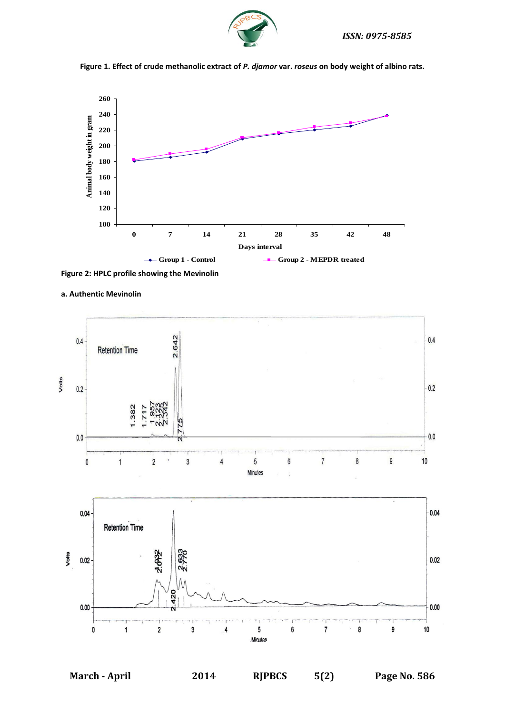





**Figure 2: HPLC profile showing the Mevinolin** 



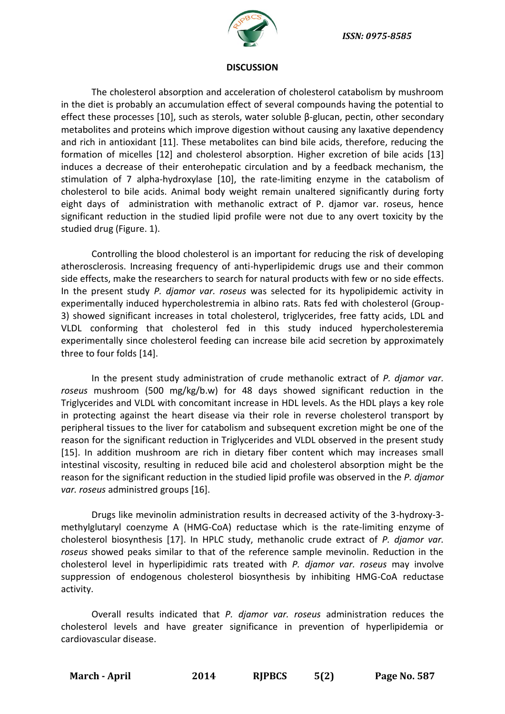

#### **DISCUSSION**

The cholesterol absorption and acceleration of cholesterol catabolism by mushroom in the diet is probably an accumulation effect of several compounds having the potential to effect these processes [10], such as sterols, water soluble β-glucan, pectin, other secondary metabolites and proteins which improve digestion without causing any laxative dependency and rich in antioxidant [11]. These metabolites can bind bile acids, therefore, reducing the formation of micelles [12] and cholesterol absorption. Higher excretion of bile acids [13] induces a decrease of their enterohepatic circulation and by a feedback mechanism, the stimulation of 7 alpha-hydroxylase [10], the rate-limiting enzyme in the catabolism of cholesterol to bile acids. Animal body weight remain unaltered significantly during forty eight days of administration with methanolic extract of P. djamor var. roseus, hence significant reduction in the studied lipid profile were not due to any overt toxicity by the studied drug (Figure. 1).

Controlling the blood cholesterol is an important for reducing the risk of developing atherosclerosis. Increasing frequency of anti-hyperlipidemic drugs use and their common side effects, make the researchers to search for natural products with few or no side effects. In the present study *P. djamor var. roseus* was selected for its hypolipidemic activity in experimentally induced hypercholestremia in albino rats. Rats fed with cholesterol (Group-3) showed significant increases in total cholesterol, triglycerides, free fatty acids, LDL and VLDL conforming that cholesterol fed in this study induced hypercholesteremia experimentally since cholesterol feeding can increase bile acid secretion by approximately three to four folds [14].

In the present study administration of crude methanolic extract of *P. djamor var. roseus* mushroom (500 mg/kg/b.w) for 48 days showed significant reduction in the Triglycerides and VLDL with concomitant increase in HDL levels. As the HDL plays a key role in protecting against the heart disease via their role in reverse cholesterol transport by peripheral tissues to the liver for catabolism and subsequent excretion might be one of the reason for the significant reduction in Triglycerides and VLDL observed in the present study [15]. In addition mushroom are rich in dietary fiber content which may increases small intestinal viscosity, resulting in reduced bile acid and cholesterol absorption might be the reason for the significant reduction in the studied lipid profile was observed in the *P. djamor var. roseus* administred groups [16].

Drugs like mevinolin administration results in decreased activity of the 3-hydroxy-3 methylglutaryl coenzyme A (HMG-CoA) reductase which is the rate-limiting enzyme of cholesterol biosynthesis [17]. In HPLC study, methanolic crude extract of *P. djamor var. roseus* showed peaks similar to that of the reference sample mevinolin. Reduction in the cholesterol level in hyperlipidimic rats treated with *P. djamor var. roseus* may involve suppression of endogenous cholesterol biosynthesis by inhibiting HMG-CoA reductase activity.

Overall results indicated that *P. djamor var. roseus* administration reduces the cholesterol levels and have greater significance in prevention of hyperlipidemia or cardiovascular disease.